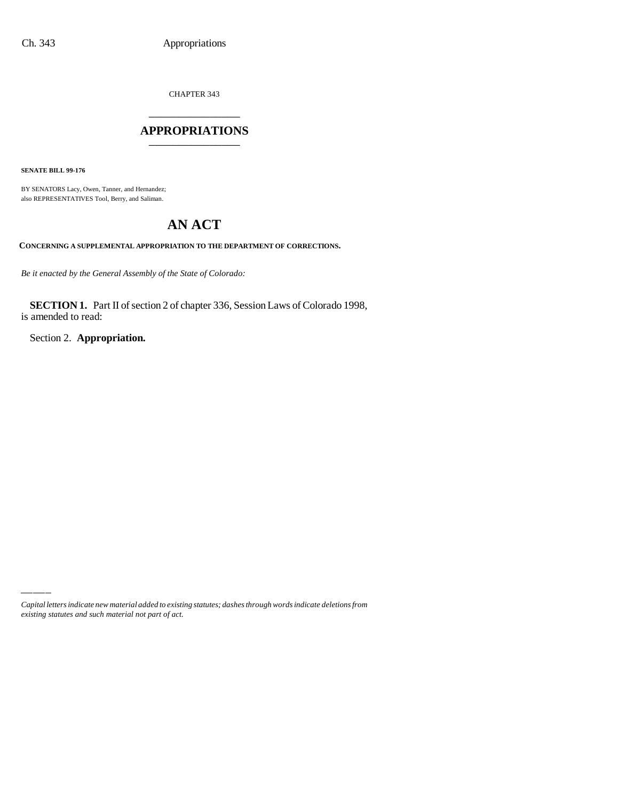CHAPTER 343 \_\_\_\_\_\_\_\_\_\_\_\_\_\_\_

## **APPROPRIATIONS** \_\_\_\_\_\_\_\_\_\_\_\_\_\_\_

**SENATE BILL 99-176**

BY SENATORS Lacy, Owen, Tanner, and Hernandez; also REPRESENTATIVES Tool, Berry, and Saliman.

# **AN ACT**

**CONCERNING A SUPPLEMENTAL APPROPRIATION TO THE DEPARTMENT OF CORRECTIONS.**

*Be it enacted by the General Assembly of the State of Colorado:*

**SECTION 1.** Part II of section 2 of chapter 336, Session Laws of Colorado 1998, is amended to read:

Section 2. **Appropriation.**

*Capital letters indicate new material added to existing statutes; dashes through words indicate deletions from existing statutes and such material not part of act.*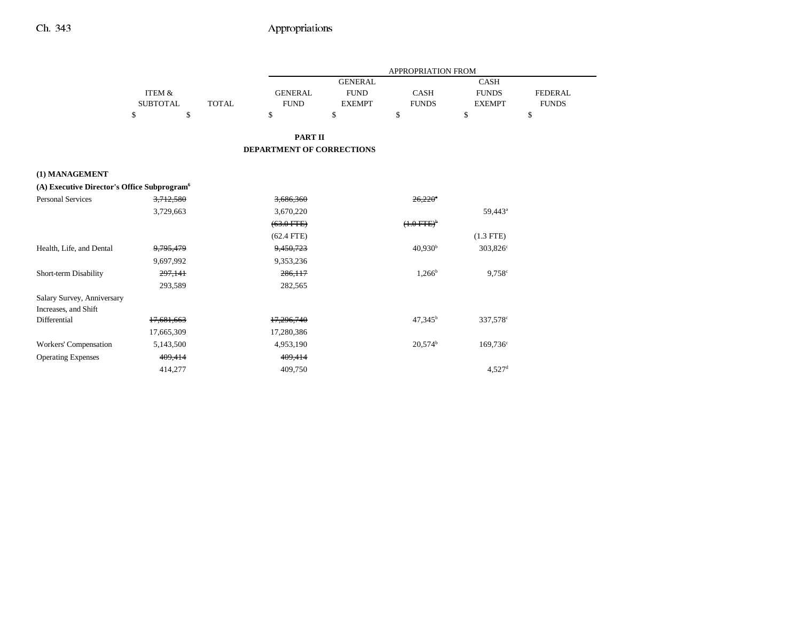|                                                         |                 |              | APPROPRIATION FROM        |                |                          |                      |                |
|---------------------------------------------------------|-----------------|--------------|---------------------------|----------------|--------------------------|----------------------|----------------|
|                                                         |                 |              |                           | <b>GENERAL</b> |                          | <b>CASH</b>          |                |
|                                                         | ITEM &          |              | <b>GENERAL</b>            | <b>FUND</b>    | <b>CASH</b>              | <b>FUNDS</b>         | <b>FEDERAL</b> |
|                                                         | <b>SUBTOTAL</b> | <b>TOTAL</b> | <b>FUND</b>               | <b>EXEMPT</b>  | <b>FUNDS</b>             | <b>EXEMPT</b>        | <b>FUNDS</b>   |
|                                                         | \$<br>\$        |              | \$                        | \$             | \$                       | \$                   | \$             |
|                                                         |                 |              | <b>PART II</b>            |                |                          |                      |                |
|                                                         |                 |              | DEPARTMENT OF CORRECTIONS |                |                          |                      |                |
| (1) MANAGEMENT                                          |                 |              |                           |                |                          |                      |                |
| (A) Executive Director's Office Subprogram <sup>6</sup> |                 |              |                           |                |                          |                      |                |
| <b>Personal Services</b>                                | 3,712,580       |              | 3,686,360                 |                | $26.220$ <sup>*</sup>    |                      |                |
|                                                         | 3,729,663       |              | 3,670,220                 |                |                          | 59,443 <sup>a</sup>  |                |
|                                                         |                 |              | $(63.0$ FTE)              |                | $(1.0$ FTE) <sup>b</sup> |                      |                |
|                                                         |                 |              | $(62.4$ FTE)              |                |                          | $(1.3$ FTE)          |                |
| Health, Life, and Dental                                | 9,795,479       |              | 9,450,723                 |                | 40,930 <sup>b</sup>      | $303,826^{\circ}$    |                |
|                                                         | 9,697,992       |              | 9,353,236                 |                |                          |                      |                |
| Short-term Disability                                   | 297,141         |              | 286,117                   |                | $1,266^b$                | $9,758^{\circ}$      |                |
|                                                         | 293,589         |              | 282,565                   |                |                          |                      |                |
| Salary Survey, Anniversary                              |                 |              |                           |                |                          |                      |                |
| Increases, and Shift                                    |                 |              |                           |                |                          |                      |                |
| Differential                                            | 17.681.663      |              | 17,296,740                |                | $47.345^b$               | 337,578°             |                |
|                                                         | 17,665,309      |              | 17,280,386                |                |                          |                      |                |
| Workers' Compensation                                   | 5,143,500       |              | 4,953,190                 |                | 20.574 <sup>b</sup>      | 169,736 <sup>c</sup> |                |
| <b>Operating Expenses</b>                               | 409,414         |              | 409,414                   |                |                          |                      |                |
|                                                         | 414,277         |              | 409,750                   |                |                          | $4,527$ <sup>d</sup> |                |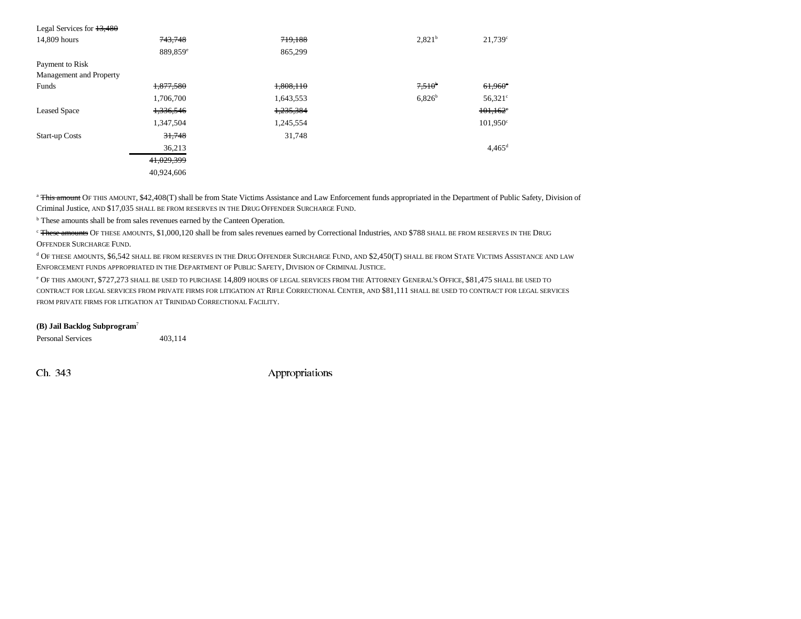| Legal Services for $13,480$ |                      |           |                    |                                         |
|-----------------------------|----------------------|-----------|--------------------|-----------------------------------------|
| 14,809 hours                | 743,748              | 719,188   | 2,821 <sup>b</sup> | 21,739°                                 |
|                             | 889,859 <sup>e</sup> | 865,299   |                    |                                         |
| Payment to Risk             |                      |           |                    |                                         |
| Management and Property     |                      |           |                    |                                         |
| Funds                       | 1,877,580            | 1,808,110 | $7,510^{b}$        | $61,960^\circ$                          |
|                             | 1,706,700            | 1,643,553 | $6,826^b$          | $56,321$ °                              |
| <b>Leased Space</b>         | 1,336,546            | 1,235,384 |                    | $101,162$ <sup><math>\circ</math></sup> |
|                             | 1,347,504            | 1,245,554 |                    | $101,950^{\circ}$                       |
| <b>Start-up Costs</b>       | 31,748               | 31,748    |                    |                                         |
|                             | 36,213               |           |                    | $4,465$ <sup>d</sup>                    |
|                             | 41,029,399           |           |                    |                                         |
|                             | 40,924,606           |           |                    |                                         |

<sup>a</sup> This amount OF THIS AMOUNT, \$42,408(T) shall be from State Victims Assistance and Law Enforcement funds appropriated in the Department of Public Safety, Division of Criminal Justice, AND \$17,035 SHALL BE FROM RESERVES IN THE DRUG OFFENDER SURCHARGE FUND.

b These amounts shall be from sales revenues earned by the Canteen Operation.

<sup>c</sup> <del>These amounts</del> Of these amounts, \$1,000,120 shall be from sales revenues earned by Correctional Industries, AND \$788 SHALL BE FROM RESERVES IN THE DRUG OFFENDER SURCHARGE FUND.

 $^{\rm d}$  Of these amounts, \$6,542 shall be from reserves in the Drug Offender Surcharge Fund, and \$2,450(T) shall be from State Victims Assistance and law ENFORCEMENT FUNDS APPROPRIATED IN THE DEPARTMENT OF PUBLIC SAFETY, DIVISION OF CRIMINAL JUSTICE.

<sup>e</sup> Of this amount, \$727,273 shall be used to purchase 14,809 hours of legal services from the Attorney General's Office, \$81,475 shall be used to CONTRACT FOR LEGAL SERVICES FROM PRIVATE FIRMS FOR LITIGATION AT **R**IFLE CORRECTIONAL CENTER, AND \$81,111 SHALL BE USED TO CONTRACT FOR LEGAL SERVICES FROM PRIVATE FIRMS FOR LITIGATION AT TRINIDAD CORRECTIONAL FACILITY.

#### **(B) Jail Backlog Subprogram**<sup>7</sup>

Personal Services 403,114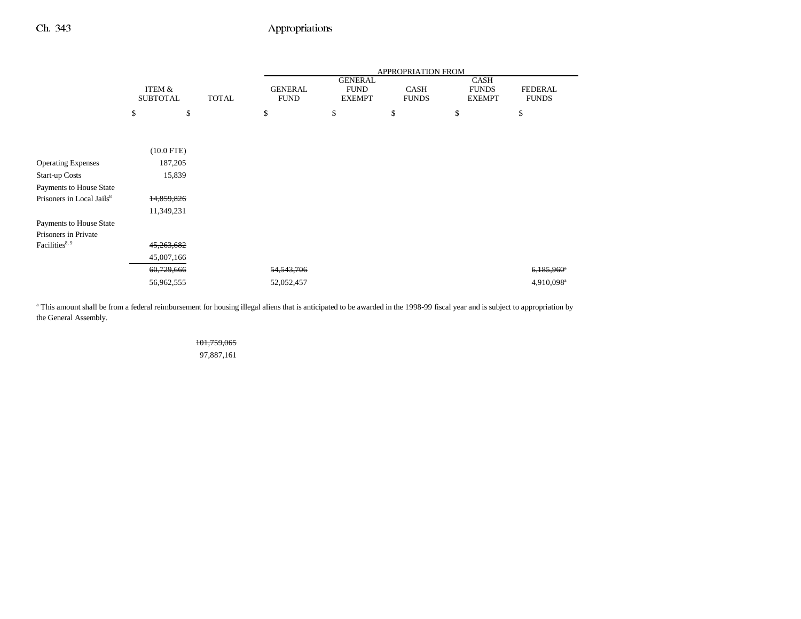|                                                 |                           |              | APPROPRIATION FROM            |                                                |                             |                                       |                                |
|-------------------------------------------------|---------------------------|--------------|-------------------------------|------------------------------------------------|-----------------------------|---------------------------------------|--------------------------------|
|                                                 | ITEM &<br><b>SUBTOTAL</b> | <b>TOTAL</b> | <b>GENERAL</b><br><b>FUND</b> | <b>GENERAL</b><br><b>FUND</b><br><b>EXEMPT</b> | <b>CASH</b><br><b>FUNDS</b> | CASH<br><b>FUNDS</b><br><b>EXEMPT</b> | <b>FEDERAL</b><br><b>FUNDS</b> |
|                                                 | \$<br>\$                  |              | \$                            | \$                                             | \$                          | \$                                    | \$                             |
|                                                 |                           |              |                               |                                                |                             |                                       |                                |
|                                                 | $(10.0$ FTE)              |              |                               |                                                |                             |                                       |                                |
| <b>Operating Expenses</b>                       | 187,205                   |              |                               |                                                |                             |                                       |                                |
| <b>Start-up Costs</b>                           | 15,839                    |              |                               |                                                |                             |                                       |                                |
| Payments to House State                         |                           |              |                               |                                                |                             |                                       |                                |
| Prisoners in Local Jails <sup>8</sup>           | 14,859,826                |              |                               |                                                |                             |                                       |                                |
|                                                 | 11,349,231                |              |                               |                                                |                             |                                       |                                |
| Payments to House State<br>Prisoners in Private |                           |              |                               |                                                |                             |                                       |                                |
| Facilities <sup>8, 9</sup>                      | 45,263,682                |              |                               |                                                |                             |                                       |                                |
|                                                 | 45,007,166                |              |                               |                                                |                             |                                       |                                |
|                                                 | 60,729,666                |              | 54, 543, 706                  |                                                |                             |                                       | $6.185.960$ <sup>*</sup>       |
|                                                 | 56,962,555                |              | 52,052,457                    |                                                |                             |                                       | 4,910,098 <sup>a</sup>         |

<sup>a</sup> This amount shall be from a federal reimbursement for housing illegal aliens that is anticipated to be awarded in the 1998-99 fiscal year and is subject to appropriation by the General Assembly.

## 101,759,065

97,887,161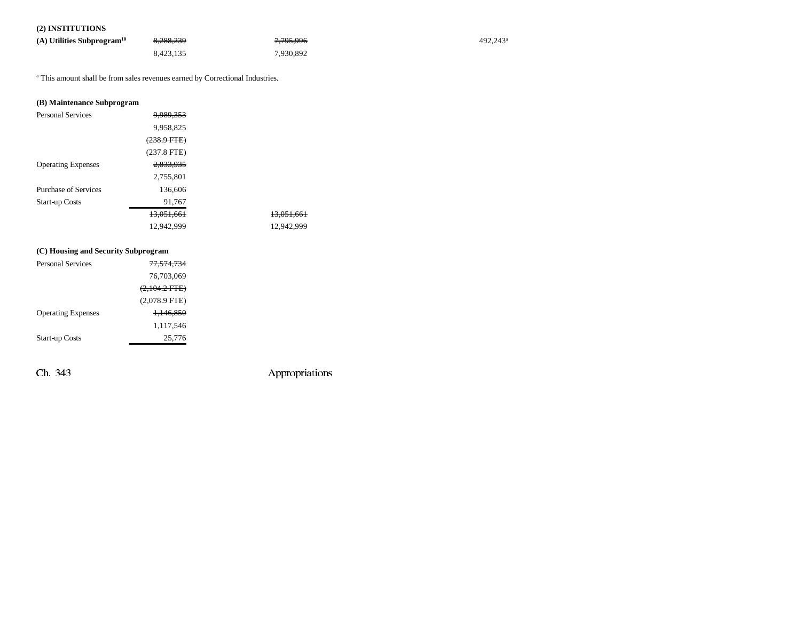## **(2) INSTITUTIONS**

| (A) Utilities Subprogram <sup>10</sup> | 8,288,239 | <del>7,795,996</del> | 492.243 <sup>a</sup> |
|----------------------------------------|-----------|----------------------|----------------------|
|                                        | 8.423.135 | 7.930.892            |                      |

a This amount shall be from sales revenues earned by Correctional Industries.

## **(B) Maintenance Subprogram**

| <b>Personal Services</b>  | <del>9.989.353</del>   |            |
|---------------------------|------------------------|------------|
|                           | 9,958,825              |            |
|                           | <del>(238.9 FTE)</del> |            |
|                           | $(237.8$ FTE)          |            |
| <b>Operating Expenses</b> | 2,833,935              |            |
|                           | 2,755,801              |            |
| Purchase of Services      | 136,606                |            |
| <b>Start-up Costs</b>     | 91,767                 |            |
|                           | 13.051.661             | 13.051.661 |
|                           | 12,942,999             | 12,942,999 |
|                           |                        |            |

#### **(C) Housing and Security Subprogram**

| <b>Personal Services</b>  | <del>77,574,734</del>   |
|---------------------------|-------------------------|
|                           | 76,703,069              |
|                           | $(2,104.2 \text{ FTE})$ |
|                           | $(2,078.9$ FTE)         |
| <b>Operating Expenses</b> | <del>1.146.850</del>    |
|                           | 1,117,546               |
| <b>Start-up Costs</b>     | 25,776                  |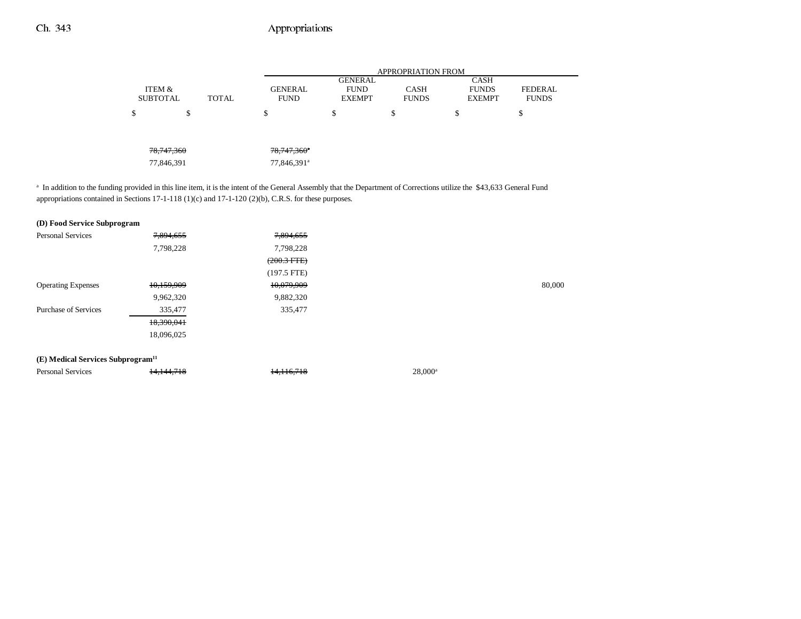|                 |              |              | <b>APPROPRIATION FROM</b> |                               |              |                             |                |
|-----------------|--------------|--------------|---------------------------|-------------------------------|--------------|-----------------------------|----------------|
|                 | ITEM &       |              | <b>GENERAL</b>            | <b>GENERAL</b><br><b>FUND</b> | <b>CASH</b>  | <b>CASH</b><br><b>FUNDS</b> | <b>FEDERAL</b> |
| <b>SUBTOTAL</b> |              | <b>TOTAL</b> | <b>FUND</b>               | <b>EXEMPT</b>                 | <b>FUNDS</b> | <b>EXEMPT</b>               | <b>FUNDS</b>   |
| \$              | ¢<br>Ф       |              | \$                        | ¢<br>Φ                        | \$           | \$                          | Φ<br>Φ         |
|                 |              |              |                           |                               |              |                             |                |
|                 |              |              |                           |                               |              |                             |                |
|                 | 78, 747, 360 |              | $78,747,360^{\circ}$      |                               |              |                             |                |
|                 | 77,846,391   |              | 77,846,391 <sup>a</sup>   |                               |              |                             |                |

<sup>a</sup> In addition to the funding provided in this line item, it is the intent of the General Assembly that the Department of Corrections utilize the \$43,633 General Fund appropriations contained in Sections 17-1-118 (1)(c) and 17-1-120 (2)(b), C.R.S. for these purposes.

| (D) Food Service Subprogram                   |            |                  |                  |        |
|-----------------------------------------------|------------|------------------|------------------|--------|
| <b>Personal Services</b>                      | 7,894,655  | 7,894,655        |                  |        |
|                                               | 7,798,228  | 7,798,228        |                  |        |
|                                               |            | $(200.3$ FTE $)$ |                  |        |
|                                               |            | $(197.5$ FTE)    |                  |        |
| <b>Operating Expenses</b>                     | 10,159,909 | 10,079,909       |                  | 80,000 |
|                                               | 9,962,320  | 9,882,320        |                  |        |
| <b>Purchase of Services</b>                   | 335,477    | 335,477          |                  |        |
|                                               | 18,390,041 |                  |                  |        |
|                                               | 18,096,025 |                  |                  |        |
| (E) Medical Services Subprogram <sup>11</sup> |            |                  |                  |        |
| <b>Personal Services</b>                      | 14,144,718 | 14,116,718       | $28,000^{\rm a}$ |        |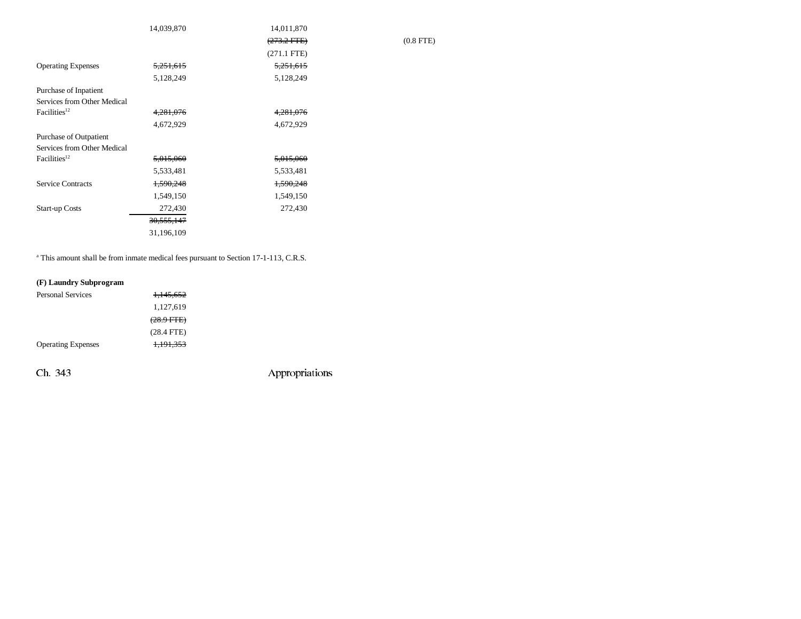|                             | 14,039,870            | 14,011,870       |
|-----------------------------|-----------------------|------------------|
|                             |                       | $(273.2$ FTE $)$ |
|                             |                       | $(271.1$ FTE)    |
| <b>Operating Expenses</b>   | <del>5,251,615</del>  | 5,251,615        |
|                             | 5,128,249             | 5,128,249        |
| Purchase of Inpatient       |                       |                  |
| Services from Other Medical |                       |                  |
| Facilities <sup>12</sup>    | 4,281,076             | 4, 281, 076      |
|                             | 4,672,929             | 4,672,929        |
| Purchase of Outpatient      |                       |                  |
| Services from Other Medical |                       |                  |
| Facilities <sup>12</sup>    | 5,015,060             | 5,015,060        |
|                             | 5,533,481             | 5,533,481        |
| <b>Service Contracts</b>    | 1,590,248             | 1,590,248        |
|                             | 1,549,150             | 1,549,150        |
| <b>Start-up Costs</b>       | 272,430               | 272,430          |
|                             | <del>30,555,147</del> |                  |
|                             | 31,196,109            |                  |

<sup>a</sup> This amount shall be from inmate medical fees pursuant to Section 17-1-113, C.R.S.

## **(F) Laundry Subprogram**

| <b>Personal Services</b>  | 1,145,652            |
|---------------------------|----------------------|
|                           | 1,127,619            |
|                           | $(28.9$ FTE $)$      |
|                           | $(28.4$ FTE)         |
| <b>Operating Expenses</b> | <del>1,191,353</del> |

Ch. 343 Appropriations

 $(0.8$  FTE)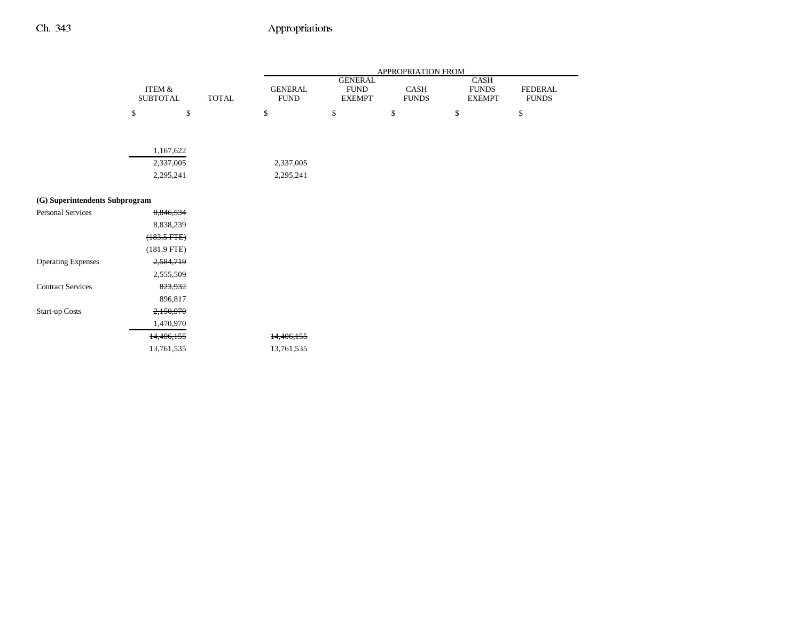|                                |                              |                       | APPROPRIATION FROM            |                                                |                      |                                              |                         |
|--------------------------------|------------------------------|-----------------------|-------------------------------|------------------------------------------------|----------------------|----------------------------------------------|-------------------------|
|                                | ITEM $\&$<br><b>SUBTOTAL</b> | <b>TOTAL</b>          | <b>GENERAL</b><br><b>FUND</b> | <b>GENERAL</b><br><b>FUND</b><br><b>EXEMPT</b> | CASH<br><b>FUNDS</b> | <b>CASH</b><br><b>FUNDS</b><br><b>EXEMPT</b> | FEDERAL<br><b>FUNDS</b> |
|                                | \$                           | $\mathbb{S}$          | \$                            | \$                                             | \$                   | \$                                           | \$                      |
|                                |                              |                       |                               |                                                |                      |                                              |                         |
|                                |                              | 1,167,622             |                               |                                                |                      |                                              |                         |
|                                |                              | 2,337,005             | 2,337,005                     |                                                |                      |                                              |                         |
|                                |                              | 2,295,241             | 2,295,241                     |                                                |                      |                                              |                         |
|                                |                              |                       |                               |                                                |                      |                                              |                         |
| (G) Superintendents Subprogram |                              |                       |                               |                                                |                      |                                              |                         |
| Personal Services              |                              | 8,846,534             |                               |                                                |                      |                                              |                         |
|                                |                              | 8,838,239             |                               |                                                |                      |                                              |                         |
|                                |                              | $(183.5 \text{ FFE})$ |                               |                                                |                      |                                              |                         |
|                                |                              | $(181.9$ FTE)         |                               |                                                |                      |                                              |                         |
| <b>Operating Expenses</b>      |                              | 2,584,719             |                               |                                                |                      |                                              |                         |
|                                |                              | 2,555,509             |                               |                                                |                      |                                              |                         |
| <b>Contract Services</b>       |                              | 823,932               |                               |                                                |                      |                                              |                         |
|                                |                              | 896,817               |                               |                                                |                      |                                              |                         |
| <b>Start-up Costs</b>          |                              | 2,150,970             |                               |                                                |                      |                                              |                         |
|                                |                              | 1,470,970             |                               |                                                |                      |                                              |                         |
|                                |                              | 14,406,155            | 14,406,155                    |                                                |                      |                                              |                         |
|                                |                              | 13,761,535            | 13,761,535                    |                                                |                      |                                              |                         |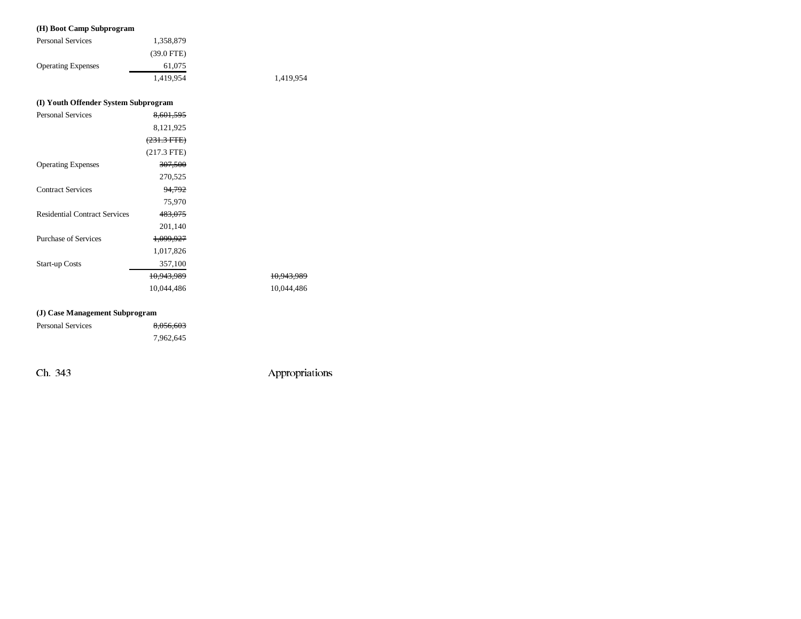## **(H) Boot Camp Subprogram**

| <b>Personal Services</b>  | 1,358,879    |    |
|---------------------------|--------------|----|
|                           | $(39.0$ FTE) |    |
| <b>Operating Expenses</b> | 61,075       |    |
|                           | 1.419.954    | 1. |

,419,954

## **(I) Youth Offender System Subprogram**

| <b>Personal Services</b>             | 8.601.595              |                       |
|--------------------------------------|------------------------|-----------------------|
|                                      | 8,121,925              |                       |
|                                      | <del>(231.3 FTE)</del> |                       |
|                                      | $(217.3$ FTE)          |                       |
| <b>Operating Expenses</b>            | 307,500                |                       |
|                                      | 270,525                |                       |
| <b>Contract Services</b>             | 94,792                 |                       |
|                                      | 75,970                 |                       |
| <b>Residential Contract Services</b> | 483,075                |                       |
|                                      | 201,140                |                       |
| <b>Purchase of Services</b>          | <del>1,099,927</del>   |                       |
|                                      | 1,017,826              |                       |
| <b>Start-up Costs</b>                | 357,100                |                       |
|                                      | 10.943.989             | <del>10.943.989</del> |
|                                      | 10,044,486             | 10,044,486            |

#### **(J) Case Management Subprogram**

| Personal Services | 8,056,603 |
|-------------------|-----------|
|                   | 7,962,645 |

Ch. 343 Appropriations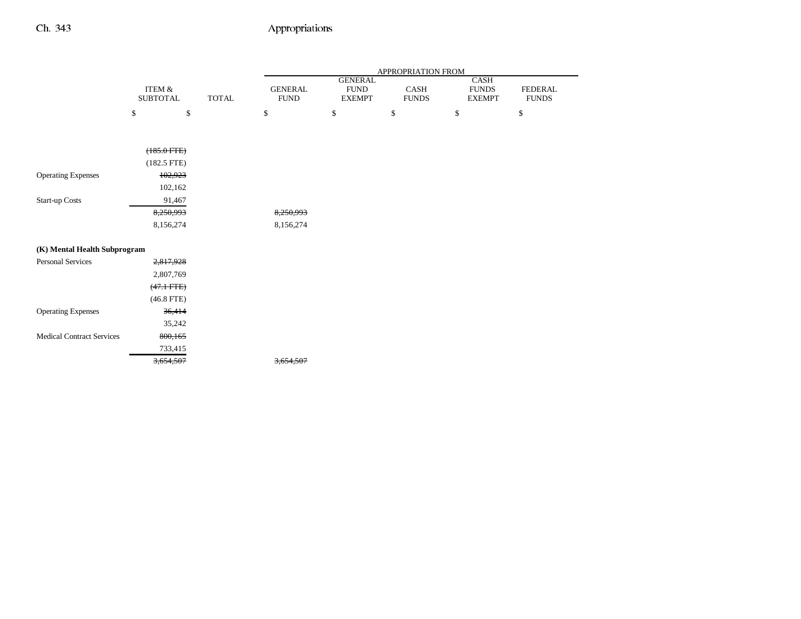|                                  |                                |              |                           |                              | APPROPRIATION FROM   |                               |                                |
|----------------------------------|--------------------------------|--------------|---------------------------|------------------------------|----------------------|-------------------------------|--------------------------------|
|                                  | <b>ITEM &amp;</b>              |              | <b>GENERAL</b>            | <b>GENERAL</b>               |                      | CASH                          |                                |
|                                  | <b>SUBTOTAL</b>                | <b>TOTAL</b> | <b>FUND</b>               | <b>FUND</b><br><b>EXEMPT</b> | CASH<br><b>FUNDS</b> | <b>FUNDS</b><br><b>EXEMPT</b> | <b>FEDERAL</b><br><b>FUNDS</b> |
|                                  | $\mathbb{S}$<br>\$             |              | $\mathbb{S}$              | $\mathbb{S}$                 | $\mathbb{S}$         | \$                            | $\mathbb{S}$                   |
|                                  |                                |              |                           |                              |                      |                               |                                |
|                                  | $(185.0$ FTE)<br>$(182.5$ FTE) |              |                           |                              |                      |                               |                                |
| <b>Operating Expenses</b>        | 102,923                        |              |                           |                              |                      |                               |                                |
|                                  | 102,162                        |              |                           |                              |                      |                               |                                |
| Start-up Costs                   | 91,467                         |              |                           |                              |                      |                               |                                |
|                                  | 8,250,993                      |              | 8,250,993                 |                              |                      |                               |                                |
|                                  | 8,156,274                      |              | 8,156,274                 |                              |                      |                               |                                |
| (K) Mental Health Subprogram     |                                |              |                           |                              |                      |                               |                                |
| <b>Personal Services</b>         | 2,817,928                      |              |                           |                              |                      |                               |                                |
|                                  | 2,807,769                      |              |                           |                              |                      |                               |                                |
|                                  | $(47.1 \text{ FFE})$           |              |                           |                              |                      |                               |                                |
|                                  | $(46.8$ FTE)                   |              |                           |                              |                      |                               |                                |
| <b>Operating Expenses</b>        | 36,414                         |              |                           |                              |                      |                               |                                |
|                                  | 35,242                         |              |                           |                              |                      |                               |                                |
| <b>Medical Contract Services</b> | 800,165                        |              |                           |                              |                      |                               |                                |
|                                  | 733,415                        |              |                           |                              |                      |                               |                                |
|                                  | 3,654,507                      |              | 507<br><del>3.654.5</del> |                              |                      |                               |                                |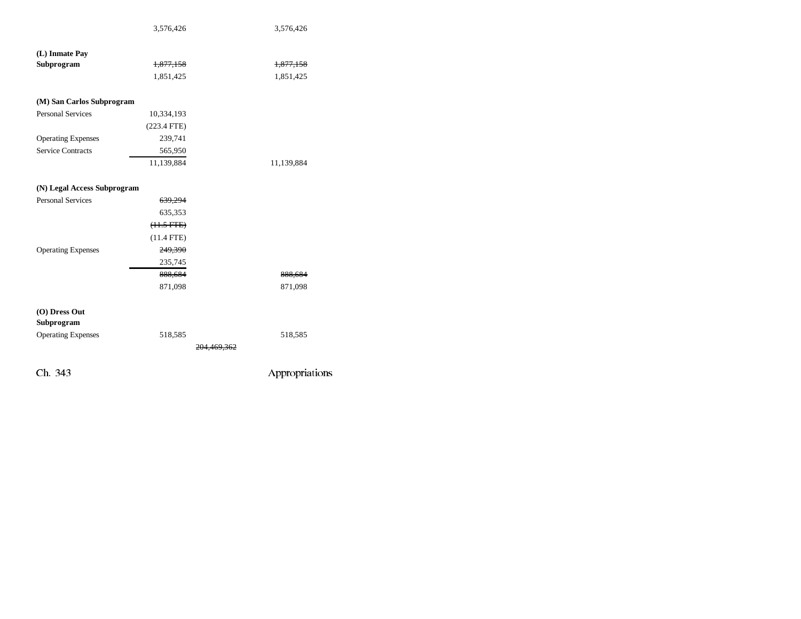|                             | 3,576,426            |             | 3,576,426      |
|-----------------------------|----------------------|-------------|----------------|
|                             |                      |             |                |
| (L) Inmate Pay              |                      |             |                |
| Subprogram                  | <del>1,877,158</del> |             | 1,877,158      |
|                             | 1,851,425            |             | 1,851,425      |
| (M) San Carlos Subprogram   |                      |             |                |
| <b>Personal Services</b>    | 10,334,193           |             |                |
|                             | $(223.4$ FTE)        |             |                |
| <b>Operating Expenses</b>   | 239,741              |             |                |
| <b>Service Contracts</b>    | 565,950              |             |                |
|                             | 11,139,884           |             | 11,139,884     |
|                             |                      |             |                |
| (N) Legal Access Subprogram |                      |             |                |
| <b>Personal Services</b>    | 639,294              |             |                |
|                             | 635,353              |             |                |
|                             | $(11.5 FTE)$         |             |                |
|                             | $(11.4$ FTE)         |             |                |
| <b>Operating Expenses</b>   | 249,390              |             |                |
|                             | 235,745              |             |                |
|                             | 888,684              |             | 888,684        |
|                             | 871,098              |             | 871,098        |
|                             |                      |             |                |
| (O) Dress Out               |                      |             |                |
| Subprogram                  |                      |             |                |
| <b>Operating Expenses</b>   | 518,585              |             | 518,585        |
|                             |                      | 204,469,362 |                |
|                             |                      |             |                |
| Ch. 343                     |                      |             | Appropriations |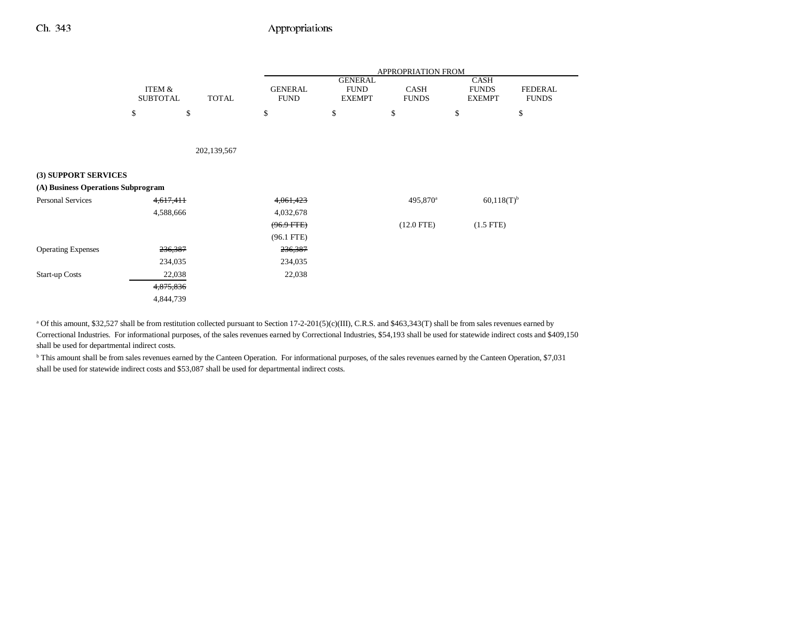|                                    |                           |              | APPROPRIATION FROM            |                                                |                             |                                       |                                |
|------------------------------------|---------------------------|--------------|-------------------------------|------------------------------------------------|-----------------------------|---------------------------------------|--------------------------------|
|                                    | ITEM &<br><b>SUBTOTAL</b> | <b>TOTAL</b> | <b>GENERAL</b><br><b>FUND</b> | <b>GENERAL</b><br><b>FUND</b><br><b>EXEMPT</b> | <b>CASH</b><br><b>FUNDS</b> | CASH<br><b>FUNDS</b><br><b>EXEMPT</b> | <b>FEDERAL</b><br><b>FUNDS</b> |
|                                    | \$<br>\$                  |              | \$                            | \$                                             | \$                          | \$                                    | \$                             |
|                                    |                           |              |                               |                                                |                             |                                       |                                |
|                                    |                           | 202,139,567  |                               |                                                |                             |                                       |                                |
| (3) SUPPORT SERVICES               |                           |              |                               |                                                |                             |                                       |                                |
| (A) Business Operations Subprogram |                           |              |                               |                                                |                             |                                       |                                |
| <b>Personal Services</b>           | 4,617,411                 |              | 4,061,423                     |                                                | 495,870 <sup>a</sup>        | $60,118(T)^{b}$                       |                                |
|                                    | 4,588,666                 |              | 4,032,678                     |                                                |                             |                                       |                                |
|                                    |                           |              | $(96.9$ FTE)                  |                                                | $(12.0$ FTE)                | $(1.5$ FTE)                           |                                |
|                                    |                           |              | $(96.1$ FTE)                  |                                                |                             |                                       |                                |
| <b>Operating Expenses</b>          | 236,387                   |              | 236,387                       |                                                |                             |                                       |                                |
|                                    | 234,035                   |              | 234,035                       |                                                |                             |                                       |                                |
| <b>Start-up Costs</b>              | 22,038                    |              | 22,038                        |                                                |                             |                                       |                                |
|                                    | 4,875,836                 |              |                               |                                                |                             |                                       |                                |
|                                    | 4,844,739                 |              |                               |                                                |                             |                                       |                                |

<sup>a</sup> Of this amount, \$32,527 shall be from restitution collected pursuant to Section 17-2-201(5)(c)(III), C.R.S. and \$463,343(T) shall be from sales revenues earned by Correctional Industries. For informational purposes, of the sales revenues earned by Correctional Industries, \$54,193 shall be used for statewide indirect costs and \$409,150 shall be used for departmental indirect costs.

<sup>b</sup> This amount shall be from sales revenues earned by the Canteen Operation. For informational purposes, of the sales revenues earned by the Canteen Operation, \$7,031 shall be used for statewide indirect costs and \$53,087 shall be used for departmental indirect costs.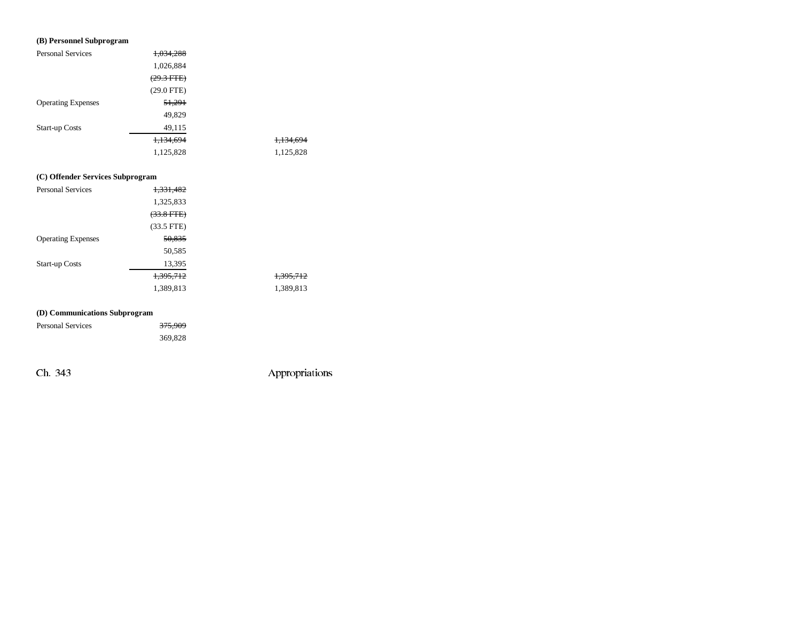## **(B) Personnel Subprogram**

| <b>Personal Services</b>  | 1,034,288            |           |
|---------------------------|----------------------|-----------|
|                           | 1,026,884            |           |
|                           | $(29.3 \text{ FTE})$ |           |
|                           | $(29.0$ FTE)         |           |
| <b>Operating Expenses</b> | 51,291               |           |
|                           | 49,829               |           |
| <b>Start-up Costs</b>     | 49,115               |           |
|                           | <del>1,134,694</del> | 1,134,694 |
|                           | 1,125,828            | 1,125,828 |

## **(C) Offender Services Subprogram**

| Personal Services         | <del>1,331,482</del> |                      |
|---------------------------|----------------------|----------------------|
|                           | 1,325,833            |                      |
|                           | $(33.8$ FTE)         |                      |
|                           | $(33.5$ FTE)         |                      |
| <b>Operating Expenses</b> | 50,835               |                      |
|                           | 50,585               |                      |
| <b>Start-up Costs</b>     | 13,395               |                      |
|                           | 1,395,712            | <del>1,395,712</del> |
|                           | 1,389,813            | 1,389,813            |

## **(D) Communications Subprogram**

| Personal Services | <del>375,909</del> |
|-------------------|--------------------|
|                   | 369,828            |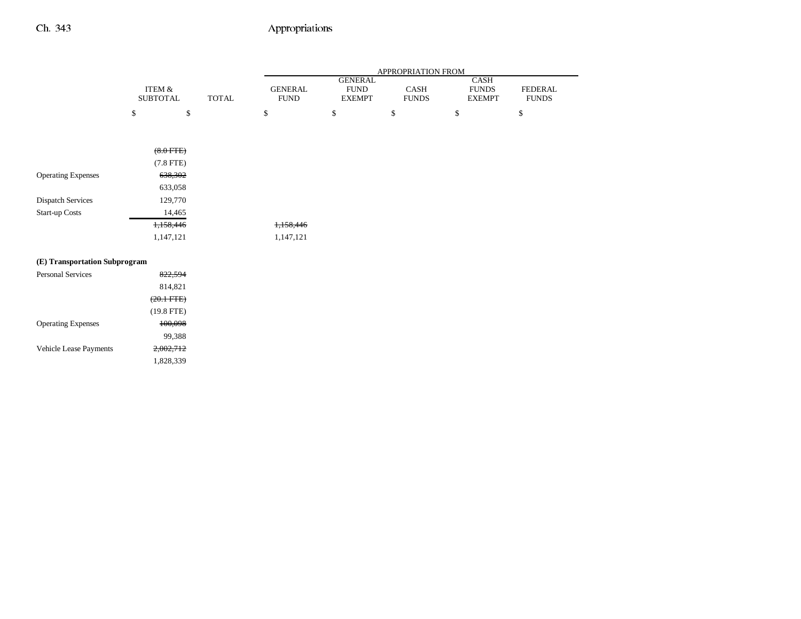|                               |                      |              | APPROPRIATION FROM |                              |                      |                               |                         |
|-------------------------------|----------------------|--------------|--------------------|------------------------------|----------------------|-------------------------------|-------------------------|
|                               | <b>ITEM &amp;</b>    |              | <b>GENERAL</b>     | <b>GENERAL</b>               |                      | <b>CASH</b>                   |                         |
|                               | <b>SUBTOTAL</b>      | <b>TOTAL</b> | <b>FUND</b>        | <b>FUND</b><br><b>EXEMPT</b> | CASH<br><b>FUNDS</b> | <b>FUNDS</b><br><b>EXEMPT</b> | FEDERAL<br><b>FUNDS</b> |
|                               | $\mathbb{S}$<br>\$   |              | \$                 | $\mathbb{S}$                 | \$                   | \$                            | \$                      |
|                               |                      |              |                    |                              |                      |                               |                         |
|                               | $(8.0$ FTE)          |              |                    |                              |                      |                               |                         |
|                               | $(7.8$ FTE $)$       |              |                    |                              |                      |                               |                         |
| <b>Operating Expenses</b>     | 638,302              |              |                    |                              |                      |                               |                         |
|                               | 633,058              |              |                    |                              |                      |                               |                         |
| <b>Dispatch Services</b>      | 129,770              |              |                    |                              |                      |                               |                         |
| Start-up Costs                | 14,465               |              |                    |                              |                      |                               |                         |
|                               | 1,158,446            |              | 1,158,446          |                              |                      |                               |                         |
|                               | 1,147,121            |              | 1,147,121          |                              |                      |                               |                         |
| (E) Transportation Subprogram |                      |              |                    |                              |                      |                               |                         |
| <b>Personal Services</b>      | 822,594              |              |                    |                              |                      |                               |                         |
|                               | 814,821              |              |                    |                              |                      |                               |                         |
|                               | $(20.1 \text{ FTE})$ |              |                    |                              |                      |                               |                         |
|                               | $(19.8$ FTE)         |              |                    |                              |                      |                               |                         |
| <b>Operating Expenses</b>     | 100,098              |              |                    |                              |                      |                               |                         |
|                               | 99,388               |              |                    |                              |                      |                               |                         |
| Vehicle Lease Payments        | 2,002,712            |              |                    |                              |                      |                               |                         |
|                               | 1,828,339            |              |                    |                              |                      |                               |                         |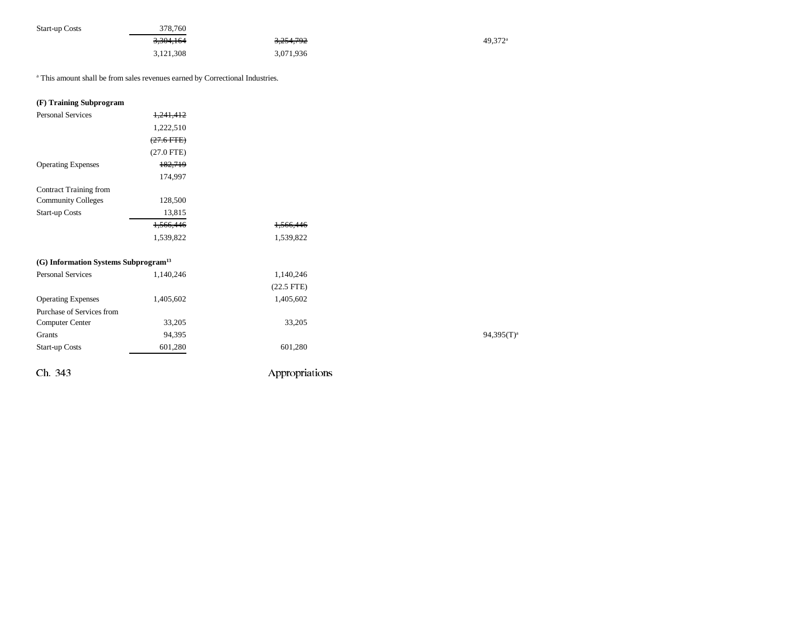| <b>Start-up Costs</b> | 378,760   |                      |                       |
|-----------------------|-----------|----------------------|-----------------------|
|                       | 3,304,164 | <del>3,254,792</del> | $49.372$ <sup>a</sup> |
|                       | 3,121,308 | 3,071,936            |                       |

a This amount shall be from sales revenues earned by Correctional Industries.

## **(F) Training Subprogram**

| <b>Personal Services</b>                         | 1,241,412    |                |               |
|--------------------------------------------------|--------------|----------------|---------------|
|                                                  | 1,222,510    |                |               |
|                                                  | $(27.6$ FTE) |                |               |
|                                                  | $(27.0$ FTE) |                |               |
| <b>Operating Expenses</b>                        | 182,719      |                |               |
|                                                  | 174,997      |                |               |
| Contract Training from                           |              |                |               |
| <b>Community Colleges</b>                        | 128,500      |                |               |
| <b>Start-up Costs</b>                            | 13,815       |                |               |
|                                                  | 1,566,446    | 1,566,446      |               |
|                                                  | 1,539,822    | 1,539,822      |               |
| (G) Information Systems Subprogram <sup>13</sup> |              |                |               |
| <b>Personal Services</b>                         | 1,140,246    | 1,140,246      |               |
|                                                  |              | $(22.5$ FTE)   |               |
| <b>Operating Expenses</b>                        | 1,405,602    | 1,405,602      |               |
| Purchase of Services from                        |              |                |               |
| Computer Center                                  | 33,205       | 33,205         |               |
| Grants                                           | 94,395       |                | $94,395(T)^3$ |
| <b>Start-up Costs</b>                            | 601,280      | 601,280        |               |
| Ch. 343                                          |              | Appropriations |               |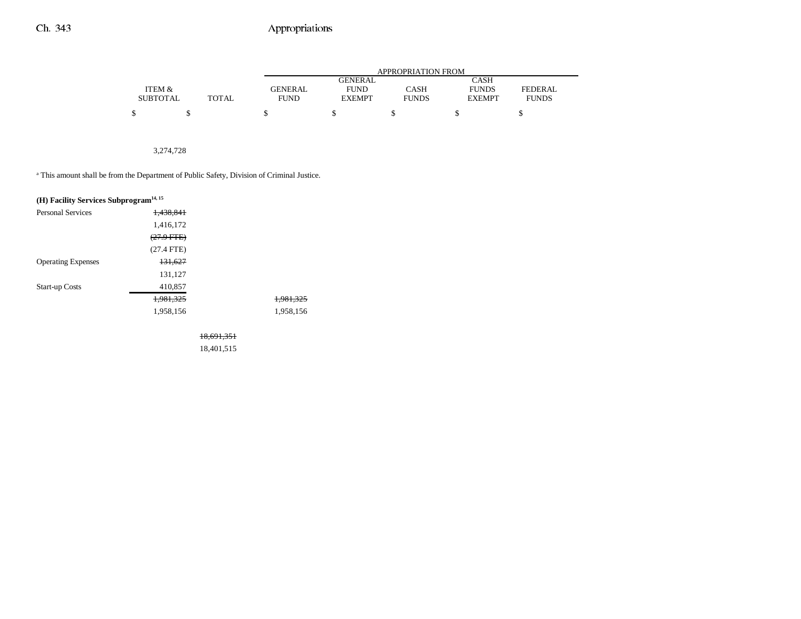|                 |              |                | APPROPRIATION FROM |              |               |              |  |  |  |
|-----------------|--------------|----------------|--------------------|--------------|---------------|--------------|--|--|--|
|                 |              |                | <b>GENERAL</b>     |              | CASH          |              |  |  |  |
| ITEM &          |              | <b>GENERAL</b> | <b>FUND</b>        | CASH         | <b>FUNDS</b>  | FEDERAL      |  |  |  |
| <b>SUBTOTAL</b> | <b>TOTAL</b> | <b>FUND</b>    | <b>EXEMPT</b>      | <b>FUNDS</b> | <b>EXEMPT</b> | <b>FUNDS</b> |  |  |  |
| ¢               |              |                |                    |              |               |              |  |  |  |

## 3,274,728

<sup>a</sup> This amount shall be from the Department of Public Safety, Division of Criminal Justice.

| (H) Facility Services Subprogram <sup>14, 15</sup> |                       |                      |
|----------------------------------------------------|-----------------------|----------------------|
| <b>Personal Services</b>                           | 1.438.841             |                      |
|                                                    | 1,416,172             |                      |
|                                                    | <del>(27.9 FTE)</del> |                      |
|                                                    | $(27.4$ FTE)          |                      |
| <b>Operating Expenses</b>                          | 131,627               |                      |
|                                                    | 131,127               |                      |
| <b>Start-up Costs</b>                              | 410,857               |                      |
|                                                    | 1,981,325             | <del>1,981,325</del> |
|                                                    | 1,958,156             | 1.958.156            |
|                                                    |                       |                      |

18,691,351

18,401,515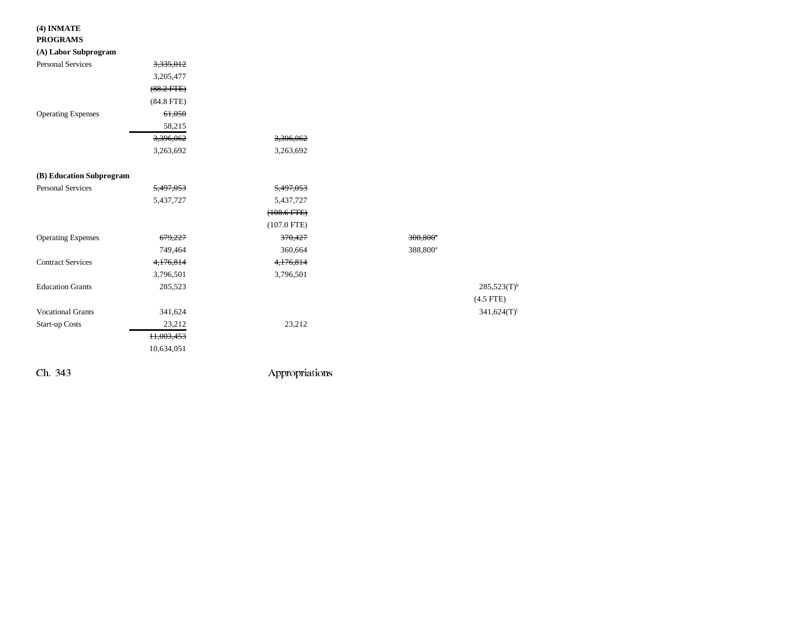## **(4) INMATE**

#### **PROGRAMS**

### **(A) Labor Subprogram**

| (1) Labor Dabprogram      |                 |                  |                        |                  |
|---------------------------|-----------------|------------------|------------------------|------------------|
| <b>Personal Services</b>  | 3,335,012       |                  |                        |                  |
|                           | 3,205,477       |                  |                        |                  |
|                           | $(88.2$ FTE $)$ |                  |                        |                  |
|                           | $(84.8$ FTE)    |                  |                        |                  |
| <b>Operating Expenses</b> | 61,050          |                  |                        |                  |
|                           | 58,215          |                  |                        |                  |
|                           | 3,396,062       | 3,396,062        |                        |                  |
|                           | 3,263,692       | 3,263,692        |                        |                  |
| (B) Education Subprogram  |                 |                  |                        |                  |
| <b>Personal Services</b>  | 5,497,053       | 5,497,053        |                        |                  |
|                           | 5,437,727       | 5,437,727        |                        |                  |
|                           |                 | $(108.6$ FTE $)$ |                        |                  |
|                           |                 | $(107.0$ FTE)    |                        |                  |
| <b>Operating Expenses</b> | 679,227         | 370,427          | $308,800$ <sup>*</sup> |                  |
|                           | 749,464         | 360,664          | 388,800 <sup>a</sup>   |                  |
| <b>Contract Services</b>  | 4,176,814       | 4,176,814        |                        |                  |
|                           | 3,796,501       | 3,796,501        |                        |                  |
| <b>Education Grants</b>   | 285,523         |                  |                        | $285,523(T)^{h}$ |
|                           |                 |                  | $(4.5$ FTE)            |                  |
| <b>Vocational Grants</b>  | 341,624         |                  |                        | 341,624(T)       |
| <b>Start-up Costs</b>     | 23,212          | 23,212           |                        |                  |
|                           | 11,003,453      |                  |                        |                  |
|                           | 10,634,051      |                  |                        |                  |
|                           |                 |                  |                        |                  |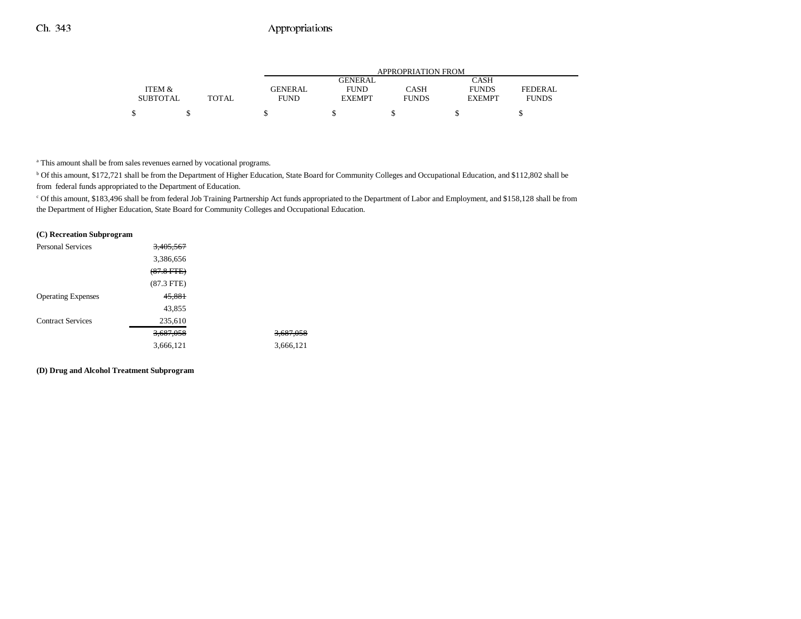|                 |              |             |                | APPROPRIATION FROM |               |              |
|-----------------|--------------|-------------|----------------|--------------------|---------------|--------------|
|                 |              |             | <b>GENERAL</b> |                    | CASH          |              |
| ITEM &          |              | GENERAL     | <b>FUND</b>    | CASH               | <b>FUNDS</b>  | FEDERAL      |
| <b>SUBTOTAL</b> | <b>TOTAL</b> | <b>FUND</b> | <b>EXEMPT</b>  | <b>FUNDS</b>       | <b>EXEMPT</b> | <b>FUNDS</b> |
|                 |              |             |                |                    |               |              |

a This amount shall be from sales revenues earned by vocational programs.

<sup>b</sup> Of this amount, \$172,721 shall be from the Department of Higher Education, State Board for Community Colleges and Occupational Education, and \$112,802 shall be from federal funds appropriated to the Department of Education.

c Of this amount, \$183,496 shall be from federal Job Training Partnership Act funds appropriated to the Department of Labor and Employment, and \$158,128 shall be from the Department of Higher Education, State Board for Community Colleges and Occupational Education.

#### **(C) Recreation Subprogram**

| <b>Personal Services</b>  | 3,405,567    |           |
|---------------------------|--------------|-----------|
|                           | 3,386,656    |           |
|                           | $(87.8$ FTE) |           |
|                           | $(87.3$ FTE) |           |
| <b>Operating Expenses</b> | 45,881       |           |
|                           | 43,855       |           |
| <b>Contract Services</b>  | 235,610      |           |
|                           | 3,687,058    | 3,687,058 |
|                           | 3,666,121    | 3,666,121 |
|                           |              |           |

#### **(D) Drug and Alcohol Treatment Subprogram**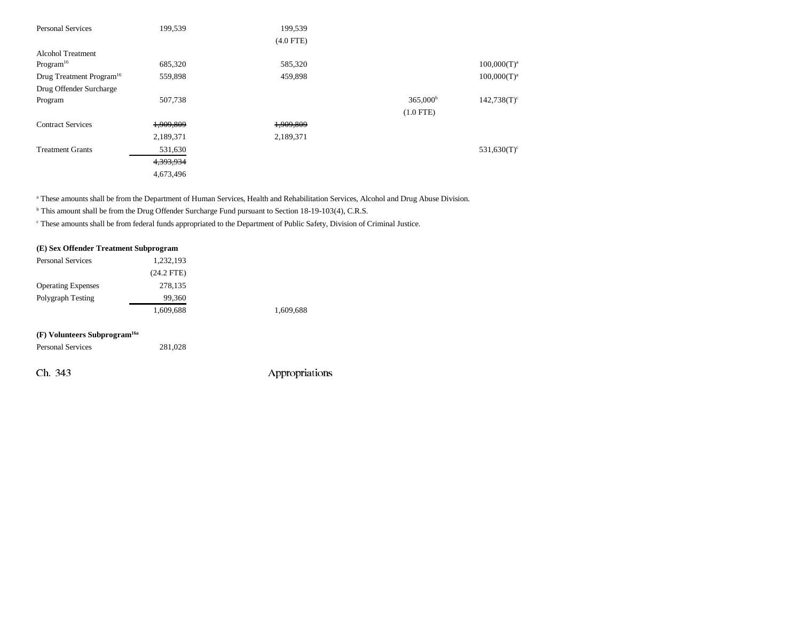| <b>Personal Services</b>             | 199,539   | 199,539     |                   |                |
|--------------------------------------|-----------|-------------|-------------------|----------------|
|                                      |           | $(4.0$ FTE) |                   |                |
| Alcohol Treatment                    |           |             |                   |                |
| Program <sup>16</sup>                | 685,320   | 585,320     |                   | $100,000(T)^a$ |
| Drug Treatment Program <sup>16</sup> | 559,898   | 459,898     |                   | $100,000(T)^a$ |
| Drug Offender Surcharge              |           |             |                   |                |
| Program                              | 507,738   |             | $365,000^{\circ}$ | $142,738(T)^c$ |
|                                      |           |             | $(1.0$ FTE)       |                |
| <b>Contract Services</b>             | 1,909,809 | 1,909,809   |                   |                |
|                                      | 2,189,371 | 2,189,371   |                   |                |
| <b>Treatment Grants</b>              | 531,630   |             |                   | $531,630(T)^c$ |
|                                      | 4,393,934 |             |                   |                |
|                                      | 4,673,496 |             |                   |                |

<sup>a</sup> These amounts shall be from the Department of Human Services, Health and Rehabilitation Services, Alcohol and Drug Abuse Division.

<sup>b</sup> This amount shall be from the Drug Offender Surcharge Fund pursuant to Section 18-19-103(4), C.R.S.

c These amounts shall be from federal funds appropriated to the Department of Public Safety, Division of Criminal Justice.

#### **(E) Sex Offender Treatment Subprogram**

| <b>Personal Services</b>                 | 1,232,193    |           |
|------------------------------------------|--------------|-----------|
|                                          | $(24.2$ FTE) |           |
| <b>Operating Expenses</b>                | 278,135      |           |
| Polygraph Testing                        | 99,360       |           |
|                                          | 1,609,688    | 1,609,688 |
|                                          |              |           |
| (F) Volunteers Subprogram <sup>16a</sup> |              |           |

| <b>Personal Services</b> | 281.028 |  |
|--------------------------|---------|--|
|                          |         |  |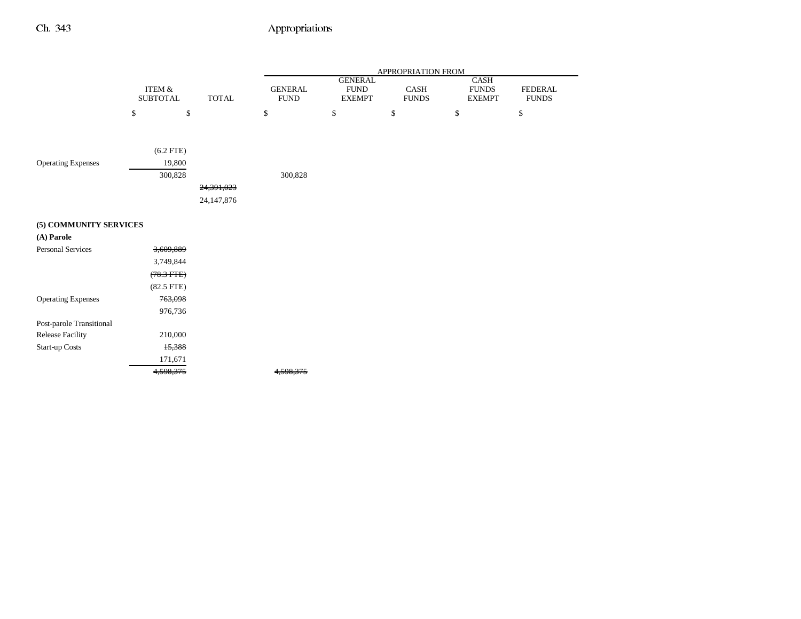|                           |                           |              |                                |                                                | APPROPRIATION FROM   |                                       |                                |
|---------------------------|---------------------------|--------------|--------------------------------|------------------------------------------------|----------------------|---------------------------------------|--------------------------------|
|                           | ITEM &<br><b>SUBTOTAL</b> | <b>TOTAL</b> | <b>GENERAL</b><br>${\rm FUND}$ | <b>GENERAL</b><br><b>FUND</b><br><b>EXEMPT</b> | CASH<br><b>FUNDS</b> | CASH<br><b>FUNDS</b><br><b>EXEMPT</b> | <b>FEDERAL</b><br><b>FUNDS</b> |
|                           | \$                        | $\mathbb{S}$ | \$                             | \$                                             | \$                   | \$                                    | \$                             |
|                           |                           |              |                                |                                                |                      |                                       |                                |
|                           | $(6.2$ FTE)               |              |                                |                                                |                      |                                       |                                |
| <b>Operating Expenses</b> | 19,800                    |              |                                |                                                |                      |                                       |                                |
|                           | 300,828                   |              | 300,828                        |                                                |                      |                                       |                                |
|                           |                           | 24,391,023   |                                |                                                |                      |                                       |                                |
|                           |                           | 24,147,876   |                                |                                                |                      |                                       |                                |
| (5) COMMUNITY SERVICES    |                           |              |                                |                                                |                      |                                       |                                |
| (A) Parole                |                           |              |                                |                                                |                      |                                       |                                |
| Personal Services         | 3,609,889                 |              |                                |                                                |                      |                                       |                                |
|                           | 3,749,844                 |              |                                |                                                |                      |                                       |                                |
|                           | $(78.3$ FTE $)$           |              |                                |                                                |                      |                                       |                                |
|                           | $(82.5$ FTE $)$           |              |                                |                                                |                      |                                       |                                |
| <b>Operating Expenses</b> | 763,098                   |              |                                |                                                |                      |                                       |                                |
|                           | 976,736                   |              |                                |                                                |                      |                                       |                                |
| Post-parole Transitional  |                           |              |                                |                                                |                      |                                       |                                |
| Release Facility          | 210,000                   |              |                                |                                                |                      |                                       |                                |
| Start-up Costs            | 15,388                    |              |                                |                                                |                      |                                       |                                |
|                           | 171,671                   |              |                                |                                                |                      |                                       |                                |

4,598,375 4,598,375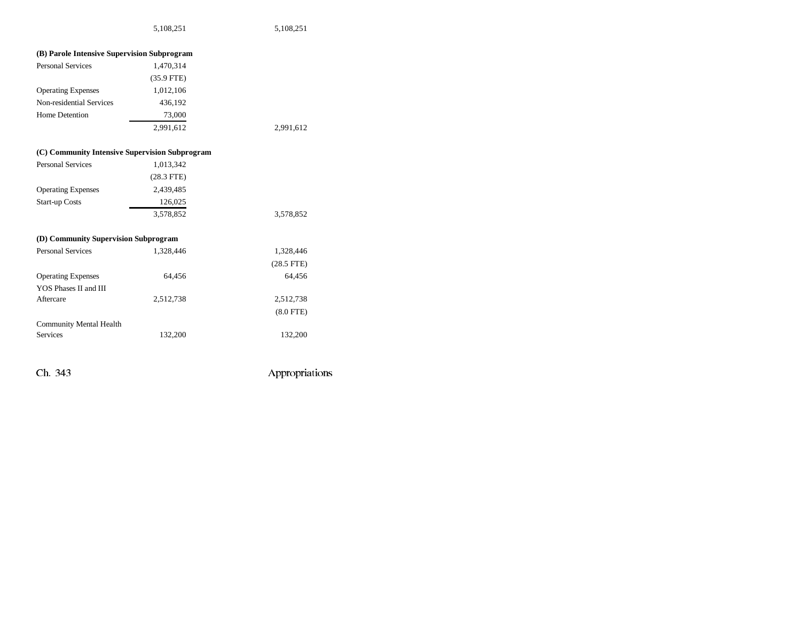| (B) Parole Intensive Supervision Subprogram    |              |                |
|------------------------------------------------|--------------|----------------|
| <b>Personal Services</b>                       | 1,470,314    |                |
|                                                | $(35.9$ FTE) |                |
| <b>Operating Expenses</b>                      | 1,012,106    |                |
| Non-residential Services                       | 436,192      |                |
| <b>Home Detention</b>                          | 73,000       |                |
|                                                | 2,991,612    | 2,991,612      |
| (C) Community Intensive Supervision Subprogram |              |                |
| <b>Personal Services</b>                       | 1,013,342    |                |
|                                                | $(28.3$ FTE) |                |
| <b>Operating Expenses</b>                      | 2,439,485    |                |
| <b>Start-up Costs</b>                          | 126,025      |                |
|                                                | 3,578,852    | 3,578,852      |
| (D) Community Supervision Subprogram           |              |                |
| <b>Personal Services</b>                       | 1,328,446    | 1,328,446      |
|                                                |              | $(28.5$ FTE)   |
| <b>Operating Expenses</b>                      | 64,456       | 64,456         |
| YOS Phases II and III                          |              |                |
| Aftercare                                      | 2,512,738    | 2,512,738      |
|                                                |              | $(8.0$ FTE $)$ |
| <b>Community Mental Health</b>                 |              |                |
| <b>Services</b>                                | 132,200      | 132,200        |
|                                                |              |                |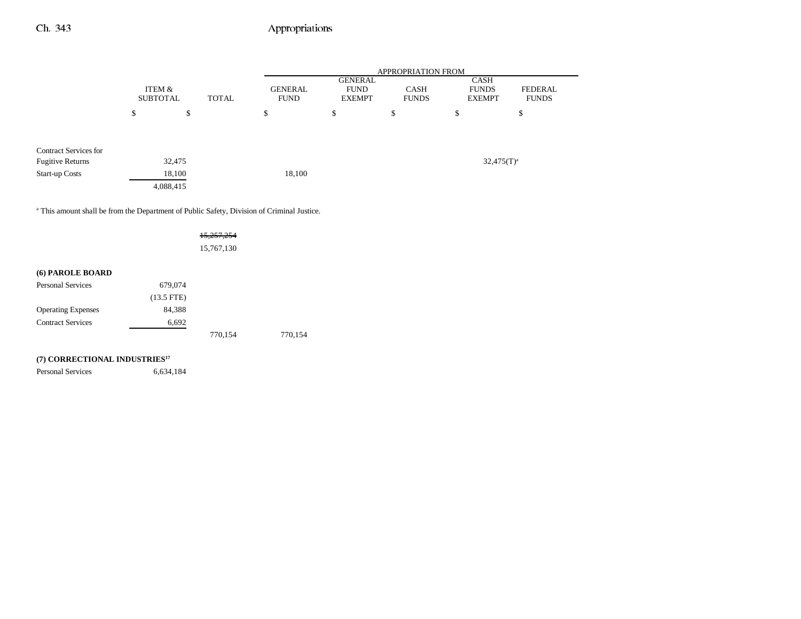|                              |                           |           |              |                               |                                                | APPROPRIATION FROM          |                                              |                         |
|------------------------------|---------------------------|-----------|--------------|-------------------------------|------------------------------------------------|-----------------------------|----------------------------------------------|-------------------------|
|                              | ITEM &<br><b>SUBTOTAL</b> |           | <b>TOTAL</b> | <b>GENERAL</b><br><b>FUND</b> | <b>GENERAL</b><br><b>FUND</b><br><b>EXEMPT</b> | <b>CASH</b><br><b>FUNDS</b> | <b>CASH</b><br><b>FUNDS</b><br><b>EXEMPT</b> | FEDERAL<br><b>FUNDS</b> |
|                              | \$                        | \$        |              | \$                            | \$                                             | \$                          | \$                                           | \$                      |
| <b>Contract Services for</b> |                           |           |              |                               |                                                |                             |                                              |                         |
| <b>Fugitive Returns</b>      |                           | 32,475    |              |                               |                                                |                             |                                              | $32,475(T)^a$           |
| <b>Start-up Costs</b>        |                           | 18,100    |              | 18,100                        |                                                |                             |                                              |                         |
|                              |                           | 4,088,415 |              |                               |                                                |                             |                                              |                         |

<sup>a</sup> This amount shall be from the Department of Public Safety, Division of Criminal Justice.

|                           |              | <del>15,257,254</del> |         |
|---------------------------|--------------|-----------------------|---------|
|                           |              | 15,767,130            |         |
|                           |              |                       |         |
| (6) PAROLE BOARD          |              |                       |         |
| <b>Personal Services</b>  | 679,074      |                       |         |
|                           | $(13.5$ FTE) |                       |         |
| <b>Operating Expenses</b> | 84,388       |                       |         |
| <b>Contract Services</b>  | 6,692        |                       |         |
|                           |              | 770,154               | 770.154 |

## **(7) CORRECTIONAL INDUSTRIES17**

Personal Services 6,634,184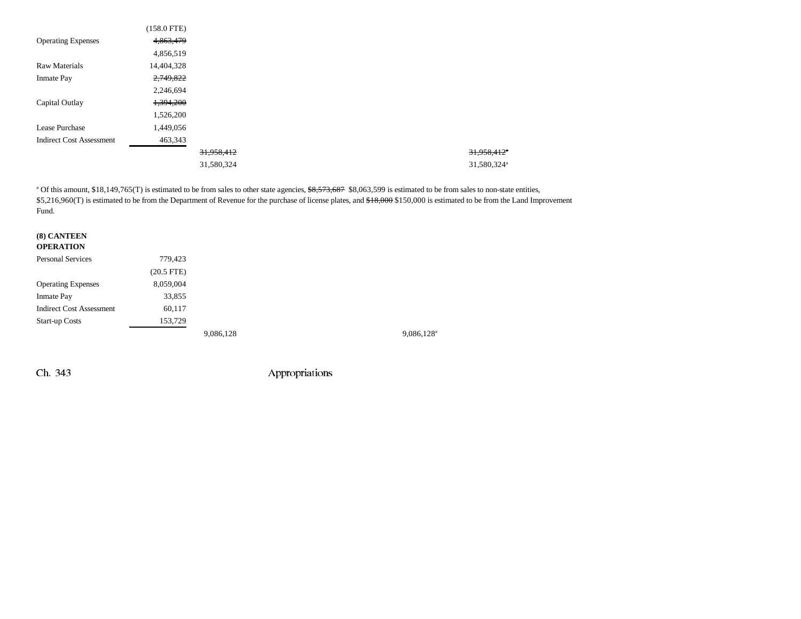|                                 | $(158.0$ FTE) |            |                           |
|---------------------------------|---------------|------------|---------------------------|
| <b>Operating Expenses</b>       | 4,863,479     |            |                           |
|                                 | 4,856,519     |            |                           |
| <b>Raw Materials</b>            | 14,404,328    |            |                           |
| <b>Inmate Pay</b>               | 2,749,822     |            |                           |
|                                 | 2,246,694     |            |                           |
| Capital Outlay                  | 1,394,200     |            |                           |
|                                 | 1,526,200     |            |                           |
| Lease Purchase                  | 1,449,056     |            |                           |
| <b>Indirect Cost Assessment</b> | 463,343       |            |                           |
|                                 |               | 31,958,412 | $31,958,412$ <sup>a</sup> |
|                                 |               | 31,580,324 | 31,580,324 <sup>a</sup>   |

<sup>a</sup> Of this amount, \$18,149,765(T) is estimated to be from sales to other state agencies, \$8,573,687 \$8,063,599 is estimated to be from sales to non-state entities, \$5,216,960(T) is estimated to be from the Department of Revenue for the purchase of license plates, and \$18,000 \$150,000 is estimated to be from the Land Improvement Fund.

| (8) CANTEEN<br><b>OPERATION</b> |              |           |                     |
|---------------------------------|--------------|-----------|---------------------|
| Personal Services               | 779,423      |           |                     |
|                                 | $(20.5$ FTE) |           |                     |
| <b>Operating Expenses</b>       | 8,059,004    |           |                     |
| <b>Inmate Pay</b>               | 33,855       |           |                     |
| <b>Indirect Cost Assessment</b> | 60,117       |           |                     |
| <b>Start-up Costs</b>           | 153,729      |           |                     |
|                                 |              | 9,086,128 | $9,086,128^{\circ}$ |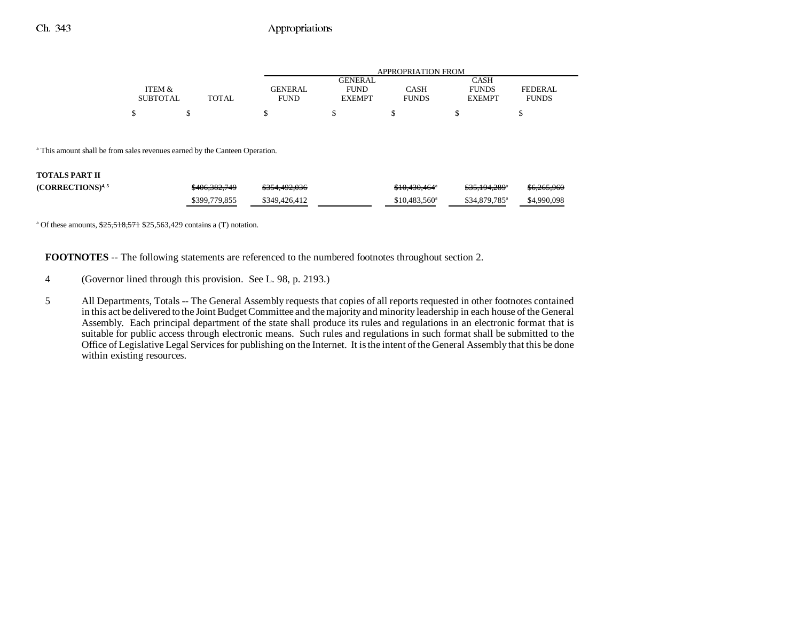|                 |       | APPROPRIATION FROM |               |              |               |              |
|-----------------|-------|--------------------|---------------|--------------|---------------|--------------|
|                 |       |                    | GENERAL       |              | CASH          |              |
| ITEM &          |       | <b>GENERAL</b>     | <b>FUND</b>   | CASH         | <b>FUNDS</b>  | FEDERAL      |
| <b>SUBTOTAL</b> | TOTAL | <b>FUND</b>        | <b>EXEMPT</b> | <b>FUNDS</b> | <b>EXEMPT</b> | <b>FUNDS</b> |
| ¢               |       |                    |               |              |               |              |

<sup>a</sup> This amount shall be from sales revenues earned by the Canteen Operation.

#### **TOTALS PART II**

| $(CORRECTIONS)^{4,5}$ | \$406,382,749 | \$354,492,036 | \$10,430,464"         | \$35.194.289 <sup>*</sup>  | \$6,265,966 |
|-----------------------|---------------|---------------|-----------------------|----------------------------|-------------|
|                       | \$399,779,855 | \$349,426,412 | $$10,483,560^{\circ}$ | $$34.879.785$ <sup>a</sup> | \$4,990,098 |

<sup>a</sup> Of these amounts,  $\frac{$25,518,571}{$25,563,429}$  contains a (T) notation.

**FOOTNOTES** -- The following statements are referenced to the numbered footnotes throughout section 2.

- 4 (Governor lined through this provision. See L. 98, p. 2193.)
- 5 All Departments, Totals -- The General Assembly requests that copies of all reports requested in other footnotes contained in this act be delivered to the Joint Budget Committee and the majority and minority leadership in each house of the General Assembly. Each principal department of the state shall produce its rules and regulations in an electronic format that is suitable for public access through electronic means. Such rules and regulations in such format shall be submitted to the Office of Legislative Legal Services for publishing on the Internet. It is the intent of the General Assembly that this be done within existing resources.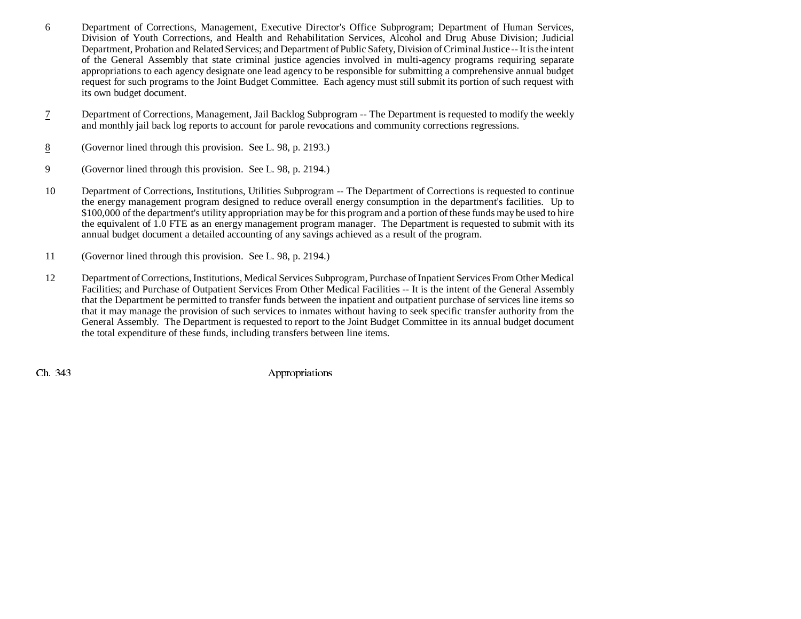- 6 Department of Corrections, Management, Executive Director's Office Subprogram; Department of Human Services, Division of Youth Corrections, and Health and Rehabilitation Services, Alcohol and Drug Abuse Division; Judicial Department, Probation and Related Services; and Department of Public Safety, Division of Criminal Justice -- It is the intent of the General Assembly that state criminal justice agencies involved in multi-agency programs requiring separate appropriations to each agency designate one lead agency to be responsible for submitting a comprehensive annual budget request for such programs to the Joint Budget Committee. Each agency must still submit its portion of such request with its own budget document.
- 7 Department of Corrections, Management, Jail Backlog Subprogram -- The Department is requested to modify the weekly and monthly jail back log reports to account for parole revocations and community corrections regressions.
- 8(Governor lined through this provision. See L. 98, p. 2193.)
- 9 (Governor lined through this provision. See L. 98, p. 2194.)
- 10 Department of Corrections, Institutions, Utilities Subprogram -- The Department of Corrections is requested to continue the energy management program designed to reduce overall energy consumption in the department's facilities. Up to \$100,000 of the department's utility appropriation may be for this program and a portion of these funds may be used to hire the equivalent of 1.0 FTE as an energy management program manager. The Department is requested to submit with its annual budget document a detailed accounting of any savings achieved as a result of the program.
- 11 (Governor lined through this provision. See L. 98, p. 2194.)
- 12 Department of Corrections, Institutions, Medical Services Subprogram, Purchase of Inpatient Services From Other Medical Facilities; and Purchase of Outpatient Services From Other Medical Facilities -- It is the intent of the General Assembly that the Department be permitted to transfer funds between the inpatient and outpatient purchase of services line items so that it may manage the provision of such services to inmates without having to seek specific transfer authority from the General Assembly. The Department is requested to report to the Joint Budget Committee in its annual budget document the total expenditure of these funds, including transfers between line items.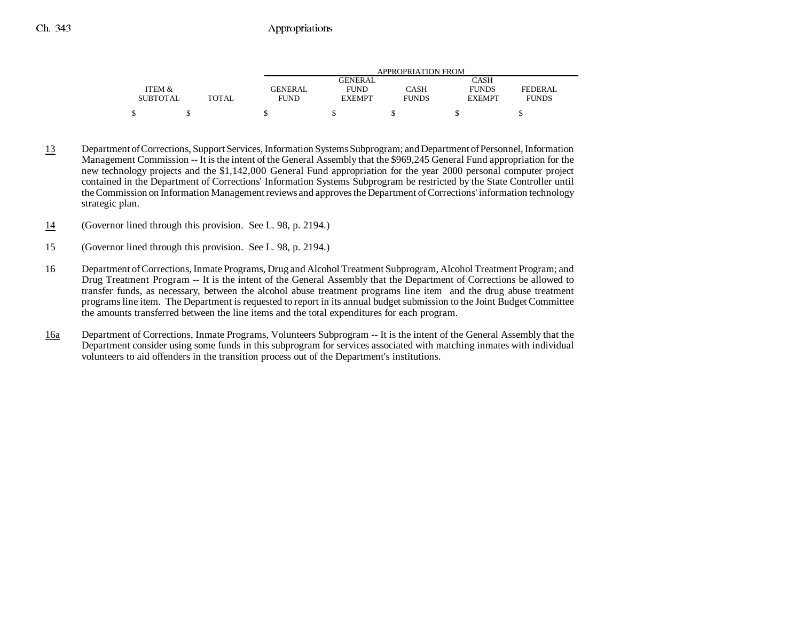|                 |              | APPROPRIATION FROM |               |              |               |              |
|-----------------|--------------|--------------------|---------------|--------------|---------------|--------------|
|                 |              |                    | GENERAL       |              | CASH          |              |
| ITEM &          |              | <b>GENERAL</b>     | <b>FUND</b>   | CASH         | <b>FUNDS</b>  | FEDERAL      |
| <b>SUBTOTAL</b> | <b>TOTAL</b> | <b>FUND</b>        | <b>EXEMPT</b> | <b>FUNDS</b> | <b>EXEMPT</b> | <b>FUNDS</b> |
|                 |              |                    |               |              |               |              |

- 13 Department of Corrections, Support Services, Information Systems Subprogram; and Department of Personnel, Information Management Commission -- It is the intent of the General Assembly that the \$969,245 General Fund appropriation for the new technology projects and the \$1,142,000 General Fund appropriation for the year 2000 personal computer project contained in the Department of Corrections' Information Systems Subprogram be restricted by the State Controller until the Commission on Information Management reviews and approves the Department of Corrections' information technology strategic plan.
- 14(Governor lined through this provision. See L. 98, p. 2194.)
- 15 (Governor lined through this provision. See L. 98, p. 2194.)
- 16 Department of Corrections, Inmate Programs, Drug and Alcohol Treatment Subprogram, Alcohol Treatment Program; and Drug Treatment Program -- It is the intent of the General Assembly that the Department of Corrections be allowed to transfer funds, as necessary, between the alcohol abuse treatment programs line item and the drug abuse treatment programs line item. The Department is requested to report in its annual budget submission to the Joint Budget Committee the amounts transferred between the line items and the total expenditures for each program.
- 16a Department of Corrections, Inmate Programs, Volunteers Subprogram -- It is the intent of the General Assembly that the Department consider using some funds in this subprogram for services associated with matching inmates with individual volunteers to aid offenders in the transition process out of the Department's institutions.